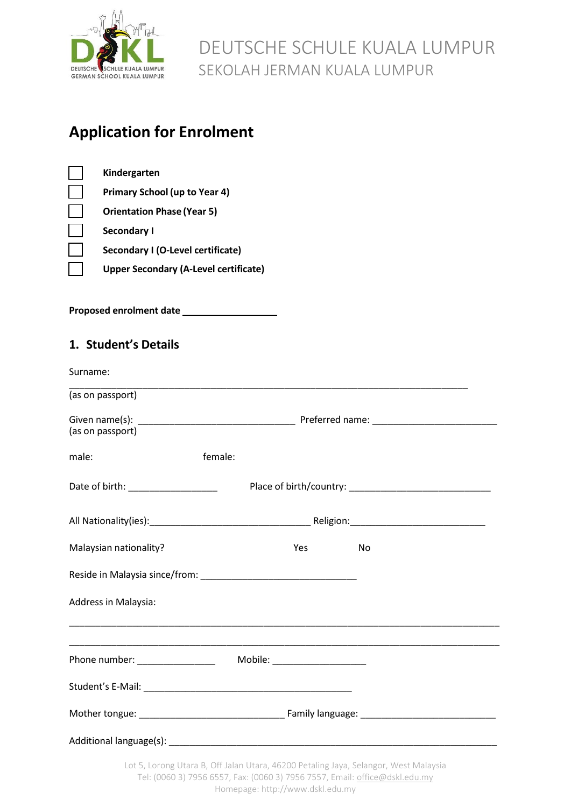

## **Application for Enrolment**

| Kindergarten                                 |
|----------------------------------------------|
| <b>Primary School (up to Year 4)</b>         |
| <b>Orientation Phase (Year 5)</b>            |
| <b>Secondary I</b>                           |
| Secondary I (O-Level certificate)            |
| <b>Upper Secondary (A-Level certificate)</b> |
|                                              |

**Proposed enrolment date** \_\_\_\_\_\_\_\_\_\_\_\_\_\_\_\_\_\_

## **1. Student's Details**

| Surname:               |                                                                                                                                                                                                                                     |    |
|------------------------|-------------------------------------------------------------------------------------------------------------------------------------------------------------------------------------------------------------------------------------|----|
| (as on passport)       |                                                                                                                                                                                                                                     |    |
| (as on passport)       |                                                                                                                                                                                                                                     |    |
| male:                  | female:                                                                                                                                                                                                                             |    |
|                        |                                                                                                                                                                                                                                     |    |
|                        |                                                                                                                                                                                                                                     |    |
| Malaysian nationality? | <b>Yes</b> and the set of the set of the set of the set of the set of the set of the set of the set of the set of the set of the set of the set of the set of the set of the set of the set of the set of the set of the set of the | No |
|                        |                                                                                                                                                                                                                                     |    |
| Address in Malaysia:   | ,我们也不能在这里的人,我们也不能在这里的人,我们也不能在这里的人,我们也不能在这里的人,我们也不能在这里的人,我们也不能在这里的人,我们也不能在这里的人,我们也                                                                                                                                                   |    |
|                        |                                                                                                                                                                                                                                     |    |
|                        |                                                                                                                                                                                                                                     |    |
|                        |                                                                                                                                                                                                                                     |    |
|                        |                                                                                                                                                                                                                                     |    |
|                        | Lot 5, Lorong Utara B, Off Jalan Utara, 46200 Petaling Jaya, Selangor, West Malaysia                                                                                                                                                |    |

Tel: (0060 3) 7956 6557, Fax: (0060 3) 7956 7557, Email: [office@dskl.edu.my](mailto:office@dskl.edu.my)

Homepage: http://www.dskl.edu.my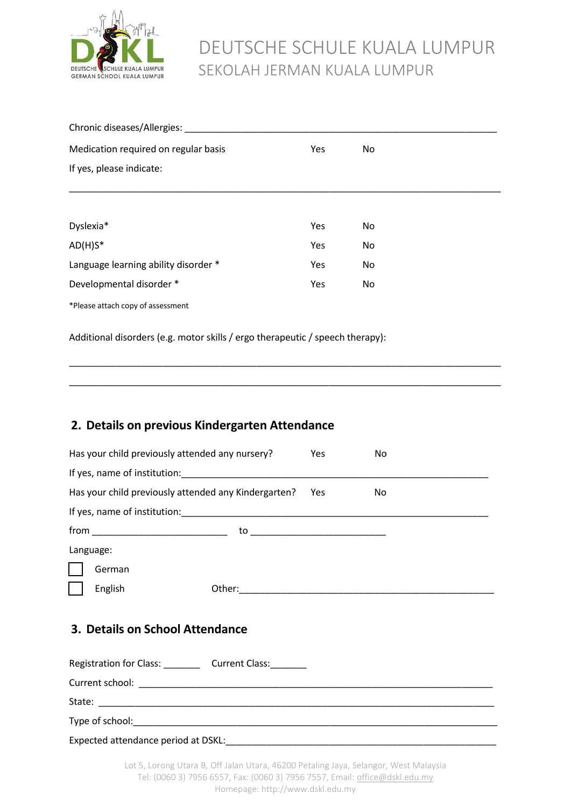

| Chronic diseases/Allergies:          |     |    |  |  |  |
|--------------------------------------|-----|----|--|--|--|
| Medication required on regular basis | Yes | No |  |  |  |
| If yes, please indicate:             |     |    |  |  |  |
|                                      |     |    |  |  |  |
| Dyslexia*                            | Yes | No |  |  |  |
| $AD(H)S^*$                           | Yes | No |  |  |  |
| Language learning ability disorder * | Yes | No |  |  |  |
| Developmental disorder *             | Yes | No |  |  |  |
| *Please attach copy of assessment    |     |    |  |  |  |

\_\_\_\_\_\_\_\_\_\_\_\_\_\_\_\_\_\_\_\_\_\_\_\_\_\_\_\_\_\_\_\_\_\_\_\_\_\_\_\_\_\_\_\_\_\_\_\_\_\_\_\_\_\_\_\_\_\_\_\_\_\_\_\_\_\_\_\_\_\_\_\_\_\_\_\_\_\_\_\_\_\_\_

\_\_\_\_\_\_\_\_\_\_\_\_\_\_\_\_\_\_\_\_\_\_\_\_\_\_\_\_\_\_\_\_\_\_\_\_\_\_\_\_\_\_\_\_\_\_\_\_\_\_\_\_\_\_\_\_\_\_\_\_\_\_\_\_\_\_\_\_\_\_\_\_\_\_\_\_\_\_\_\_\_\_\_

Additional disorders (e.g. motor skills / ergo therapeutic / speech therapy):

### **2. Details on previous Kindergarten Attendance**

| Has your child previously attended any nursery?      | Yes | No  |
|------------------------------------------------------|-----|-----|
|                                                      |     |     |
| Has your child previously attended any Kindergarten? | Yes | No. |
|                                                      |     |     |
|                                                      |     |     |
| Language:                                            |     |     |
| German                                               |     |     |
| English                                              |     |     |
| 3. Details on School Attendance                      |     |     |
| Registration for Class: Current Class:               |     |     |
|                                                      |     |     |
|                                                      |     |     |
|                                                      |     |     |

Expected attendance period at DSKL: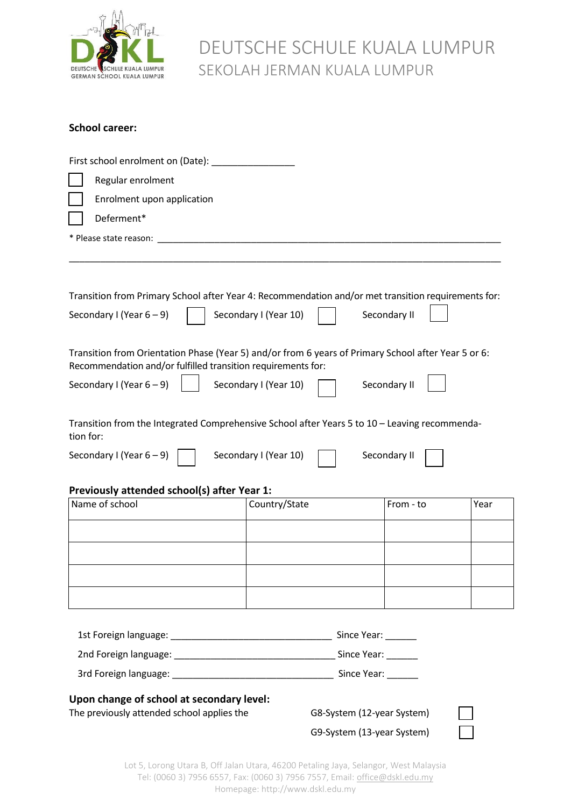

## DEUTSCHE SCHULE KUALA LUMPUR SEKOLAH JERMAN KUALA LUMPUR

#### **School career:**

| First school enrolment on (Date): _                                                                                                                                 |                       |                            |              |      |
|---------------------------------------------------------------------------------------------------------------------------------------------------------------------|-----------------------|----------------------------|--------------|------|
| Regular enrolment                                                                                                                                                   |                       |                            |              |      |
| Enrolment upon application                                                                                                                                          |                       |                            |              |      |
| Deferment*                                                                                                                                                          |                       |                            |              |      |
| * Please state reason:                                                                                                                                              |                       |                            |              |      |
|                                                                                                                                                                     |                       |                            |              |      |
| Transition from Primary School after Year 4: Recommendation and/or met transition requirements for:                                                                 |                       |                            |              |      |
| Secondary I (Year $6-9$ )                                                                                                                                           | Secondary I (Year 10) |                            | Secondary II |      |
| Transition from Orientation Phase (Year 5) and/or from 6 years of Primary School after Year 5 or 6:<br>Recommendation and/or fulfilled transition requirements for: |                       |                            |              |      |
| Secondary I (Year $6-9$ )                                                                                                                                           | Secondary I (Year 10) |                            | Secondary II |      |
| Transition from the Integrated Comprehensive School after Years 5 to 10 - Leaving recommenda-<br>tion for:                                                          |                       |                            |              |      |
| Secondary I (Year 6 – 9)                                                                                                                                            | Secondary I (Year 10) |                            | Secondary II |      |
| Previously attended school(s) after Year 1:                                                                                                                         |                       |                            |              |      |
| Name of school                                                                                                                                                      | Country/State         |                            | From - to    | Year |
|                                                                                                                                                                     |                       |                            |              |      |
|                                                                                                                                                                     |                       |                            |              |      |
|                                                                                                                                                                     |                       |                            |              |      |
|                                                                                                                                                                     |                       |                            |              |      |
|                                                                                                                                                                     |                       |                            |              |      |
|                                                                                                                                                                     |                       |                            |              |      |
|                                                                                                                                                                     |                       |                            |              |      |
|                                                                                                                                                                     |                       |                            |              |      |
| Upon change of school at secondary level:                                                                                                                           |                       |                            |              |      |
| The previously attended school applies the                                                                                                                          |                       | G8-System (12-year System) |              |      |
|                                                                                                                                                                     |                       | G9-System (13-year System) |              |      |

Lot 5, Lorong Utara B, Off Jalan Utara, 46200 Petaling Jaya, Selangor, West Malaysia Tel: (0060 3) 7956 6557, Fax: (0060 3) 7956 7557, Email: [office@dskl.edu.my](mailto:office@dskl.edu.my) Homepage: http://www.dskl.edu.my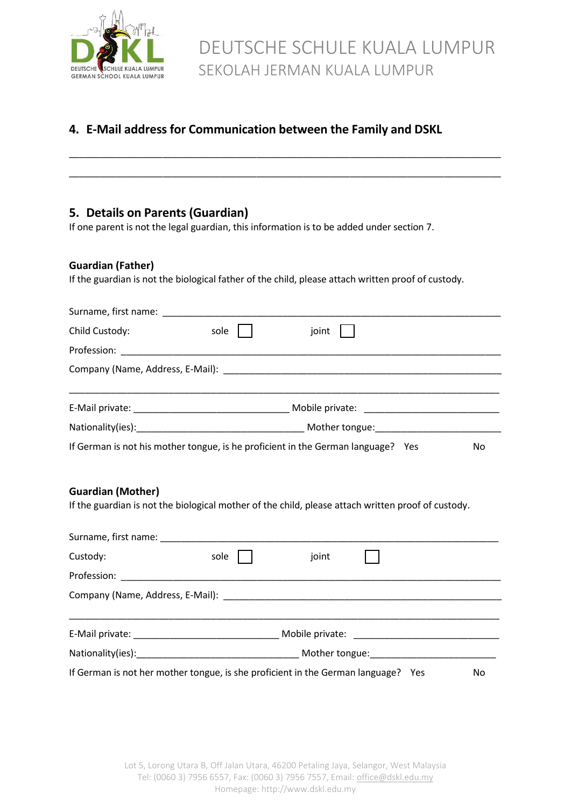

### **4. E-Mail address for Communication between the Family and DSKL**

\_\_\_\_\_\_\_\_\_\_\_\_\_\_\_\_\_\_\_\_\_\_\_\_\_\_\_\_\_\_\_\_\_\_\_\_\_\_\_\_\_\_\_\_\_\_\_\_\_\_\_\_\_\_\_\_\_\_\_\_\_\_\_\_\_\_\_\_\_\_\_\_\_\_\_\_\_\_\_\_\_\_\_

\_\_\_\_\_\_\_\_\_\_\_\_\_\_\_\_\_\_\_\_\_\_\_\_\_\_\_\_\_\_\_\_\_\_\_\_\_\_\_\_\_\_\_\_\_\_\_\_\_\_\_\_\_\_\_\_\_\_\_\_\_\_\_\_\_\_\_\_\_\_\_\_\_\_\_\_\_\_\_\_\_\_\_

### **5. Details on Parents (Guardian)**

If one parent is not the legal guardian, this information is to be added under section 7.

#### **Guardian (Father)**

If the guardian is not the biological father of the child, please attach written proof of custody.

| Surname, first name: Surname and the set of the set of the set of the set of the set of the set of the set of the set of the set of the set of the set of the set of the set of the set of the set of the set of the set of th |      |                                                                                                    |     |
|--------------------------------------------------------------------------------------------------------------------------------------------------------------------------------------------------------------------------------|------|----------------------------------------------------------------------------------------------------|-----|
| Child Custody:                                                                                                                                                                                                                 | sole | joint                                                                                              |     |
|                                                                                                                                                                                                                                |      |                                                                                                    |     |
|                                                                                                                                                                                                                                |      |                                                                                                    |     |
|                                                                                                                                                                                                                                |      |                                                                                                    |     |
|                                                                                                                                                                                                                                |      |                                                                                                    |     |
|                                                                                                                                                                                                                                |      |                                                                                                    |     |
|                                                                                                                                                                                                                                |      | If German is not his mother tongue, is he proficient in the German language? Yes                   | No. |
|                                                                                                                                                                                                                                |      |                                                                                                    |     |
| <b>Guardian (Mother)</b>                                                                                                                                                                                                       |      |                                                                                                    |     |
|                                                                                                                                                                                                                                |      | If the guardian is not the biological mother of the child, please attach written proof of custody. |     |

| Custody: | sole                                                                              | joint |  |    |  |  |
|----------|-----------------------------------------------------------------------------------|-------|--|----|--|--|
|          |                                                                                   |       |  |    |  |  |
|          |                                                                                   |       |  |    |  |  |
|          |                                                                                   |       |  |    |  |  |
|          |                                                                                   |       |  |    |  |  |
|          | If German is not her mother tongue, is she proficient in the German language? Yes |       |  | No |  |  |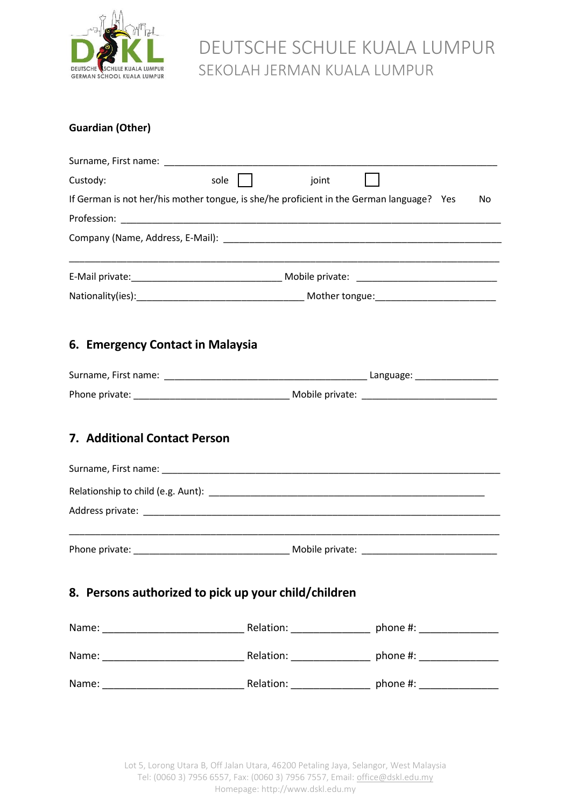

## DEUTSCHE SCHULE KUALA LUMPUR SEKOLAH JERMAN KUALA LUMPUR

### **Guardian (Other)**

| Custody:                                                                                 | sole | joint |    |
|------------------------------------------------------------------------------------------|------|-------|----|
| If German is not her/his mother tongue, is she/he proficient in the German language? Yes |      |       | No |
|                                                                                          |      |       |    |
|                                                                                          |      |       |    |
|                                                                                          |      |       |    |
|                                                                                          |      |       |    |
| 6. Emergency Contact in Malaysia                                                         |      |       |    |
|                                                                                          |      |       |    |
|                                                                                          |      |       |    |
| <b>7. Additional Contact Person</b>                                                      |      |       |    |
|                                                                                          |      |       |    |
|                                                                                          |      |       |    |
|                                                                                          |      |       |    |
| 8. Persons authorized to pick up your child/children                                     |      |       |    |
|                                                                                          |      |       |    |
|                                                                                          |      |       |    |
|                                                                                          |      |       |    |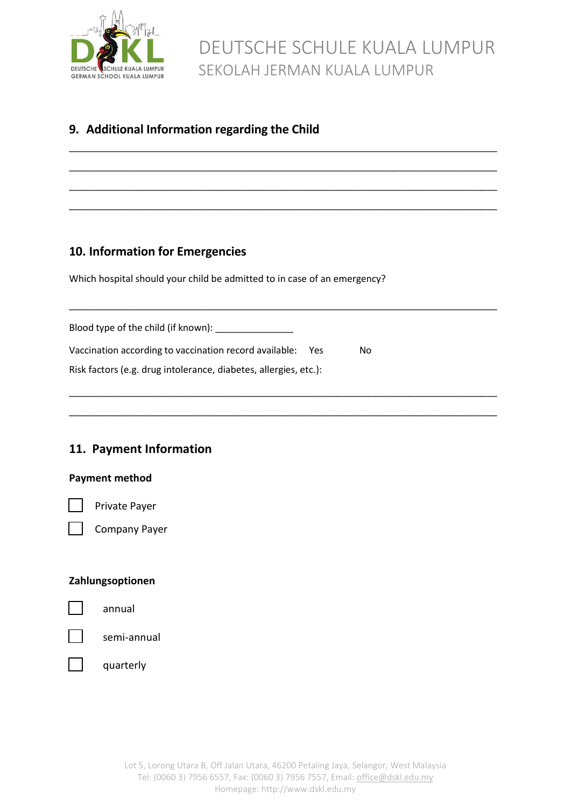

### **9. Additional Information regarding the Child**

### **10. Information for Emergencies**

Which hospital should your child be admitted to in case of an emergency?

\_\_\_\_\_\_\_\_\_\_\_\_\_\_\_\_\_\_\_\_\_\_\_\_\_\_\_\_\_\_\_\_\_\_\_\_\_\_\_\_\_\_\_\_\_\_\_\_\_\_\_\_\_\_\_\_\_\_\_\_\_\_\_\_\_\_\_\_\_\_\_\_\_\_\_\_\_\_\_\_\_\_\_

\_\_\_\_\_\_\_\_\_\_\_\_\_\_\_\_\_\_\_\_\_\_\_\_\_\_\_\_\_\_\_\_\_\_\_\_\_\_\_\_\_\_\_\_\_\_\_\_\_\_\_\_\_\_\_\_\_\_\_\_\_\_\_\_\_\_\_\_\_\_\_\_\_\_\_\_\_\_\_\_\_\_\_

\_\_\_\_\_\_\_\_\_\_\_\_\_\_\_\_\_\_\_\_\_\_\_\_\_\_\_\_\_\_\_\_\_\_\_\_\_\_\_\_\_\_\_\_\_\_\_\_\_\_\_\_\_\_\_\_\_\_\_\_\_\_\_\_\_\_\_\_\_\_\_\_\_\_\_\_\_\_\_\_\_\_\_

\_\_\_\_\_\_\_\_\_\_\_\_\_\_\_\_\_\_\_\_\_\_\_\_\_\_\_\_\_\_\_\_\_\_\_\_\_\_\_\_\_\_\_\_\_\_\_\_\_\_\_\_\_\_\_\_\_\_\_\_\_\_\_\_\_\_\_\_\_\_\_\_\_\_\_\_\_\_\_\_\_\_\_

\_\_\_\_\_\_\_\_\_\_\_\_\_\_\_\_\_\_\_\_\_\_\_\_\_\_\_\_\_\_\_\_\_\_\_\_\_\_\_\_\_\_\_\_\_\_\_\_\_\_\_\_\_\_\_\_\_\_\_\_\_\_\_\_\_\_\_\_\_\_\_\_\_\_\_\_\_\_\_\_\_\_\_

\_\_\_\_\_\_\_\_\_\_\_\_\_\_\_\_\_\_\_\_\_\_\_\_\_\_\_\_\_\_\_\_\_\_\_\_\_\_\_\_\_\_\_\_\_\_\_\_\_\_\_\_\_\_\_\_\_\_\_\_\_\_\_\_\_\_\_\_\_\_\_\_\_\_\_\_\_\_\_\_\_\_\_

\_\_\_\_\_\_\_\_\_\_\_\_\_\_\_\_\_\_\_\_\_\_\_\_\_\_\_\_\_\_\_\_\_\_\_\_\_\_\_\_\_\_\_\_\_\_\_\_\_\_\_\_\_\_\_\_\_\_\_\_\_\_\_\_\_\_\_\_\_\_\_\_\_\_\_\_\_\_\_\_\_\_\_

| Blood type of the child (if known):                              |    |
|------------------------------------------------------------------|----|
| Vaccination according to vaccination record available:<br>- Yes  | Nο |
| Risk factors (e.g. drug intolerance, diabetes, allergies, etc.): |    |

### **11. Payment Information**

#### **Payment method**

Private Payer

Company Payer

#### **Zahlungsoptionen**

semi-annual

quarterly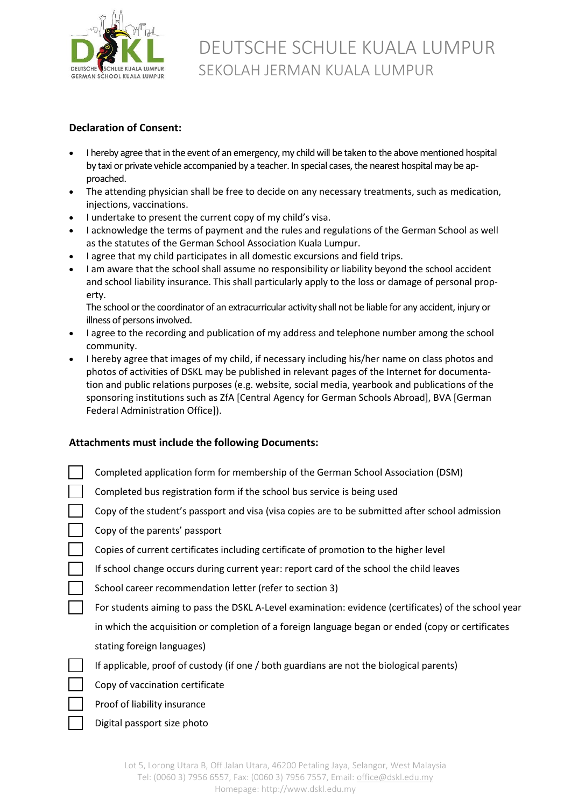

#### **Declaration of Consent:**

- I hereby agree that in the event of an emergency, my child will be taken to the above mentioned hospital by taxi or private vehicle accompanied by a teacher. In special cases, the nearest hospital may be approached.
- The attending physician shall be free to decide on any necessary treatments, such as medication, injections, vaccinations.
- I undertake to present the current copy of my child's visa.
- I acknowledge the terms of payment and the rules and regulations of the German School as well as the statutes of the German School Association Kuala Lumpur.
- I agree that my child participates in all domestic excursions and field trips.
- I am aware that the school shall assume no responsibility or liability beyond the school accident and school liability insurance. This shall particularly apply to the loss or damage of personal property.

The school or the coordinator of an extracurricular activity shall not be liable for any accident, injury or illness of persons involved.

- I agree to the recording and publication of my address and telephone number among the school community.
- I hereby agree that images of my child, if necessary including his/her name on class photos and photos of activities of DSKL may be published in relevant pages of the Internet for documentation and public relations purposes (e.g. website, social media, yearbook and publications of the sponsoring institutions such as ZfA [Central Agency for German Schools Abroad], BVA [German Federal Administration Office]).

#### **Attachments must include the following Documents:**

| Completed application form for membership of the German School Association (DSM)                     |
|------------------------------------------------------------------------------------------------------|
| Completed bus registration form if the school bus service is being used                              |
| Copy of the student's passport and visa (visa copies are to be submitted after school admission      |
| Copy of the parents' passport                                                                        |
| Copies of current certificates including certificate of promotion to the higher level                |
| If school change occurs during current year: report card of the school the child leaves              |
| School career recommendation letter (refer to section 3)                                             |
| For students aiming to pass the DSKL A-Level examination: evidence (certificates) of the school year |
| in which the acquisition or completion of a foreign language began or ended (copy or certificates    |
| stating foreign languages)                                                                           |
| If applicable, proof of custody (if one / both guardians are not the biological parents)             |
| Copy of vaccination certificate                                                                      |
| Proof of liability insurance                                                                         |
|                                                                                                      |

Digital passport size photo